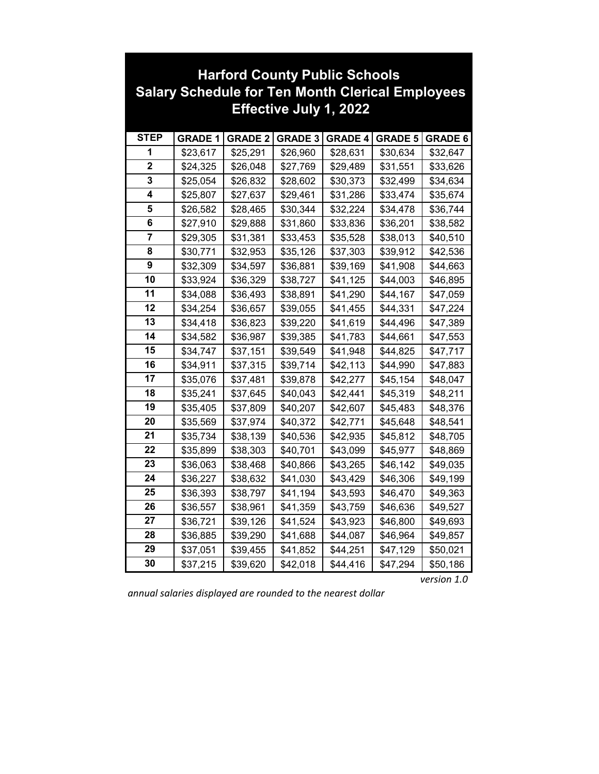| <b>Harford County Public Schools</b>                    |                |                |                |                |                |                |
|---------------------------------------------------------|----------------|----------------|----------------|----------------|----------------|----------------|
| <b>Salary Schedule for Ten Month Clerical Employees</b> |                |                |                |                |                |                |
| <b>Effective July 1, 2022</b>                           |                |                |                |                |                |                |
|                                                         |                |                |                |                |                |                |
| <b>STEP</b>                                             | <b>GRADE 1</b> | <b>GRADE 2</b> | <b>GRADE 3</b> | <b>GRADE 4</b> | <b>GRADE 5</b> | <b>GRADE 6</b> |
| 1                                                       | \$23,617       | \$25,291       | \$26,960       | \$28,631       | \$30,634       | \$32,647       |
| $\overline{\mathbf{2}}$                                 | \$24,325       | \$26,048       | \$27,769       | \$29,489       | \$31,551       | \$33,626       |
| 3                                                       | \$25,054       | \$26,832       | \$28,602       | \$30,373       | \$32,499       | \$34,634       |
| 4                                                       | \$25,807       | \$27,637       | \$29,461       | \$31,286       | \$33,474       | \$35,674       |
| 5                                                       | \$26,582       | \$28,465       | \$30,344       | \$32,224       | \$34,478       | \$36,744       |
| 6                                                       | \$27,910       | \$29,888       | \$31,860       | \$33,836       | \$36,201       | \$38,582       |
| $\overline{\mathbf{7}}$                                 | \$29,305       | \$31,381       | \$33,453       | \$35,528       | \$38,013       | \$40,510       |
| 8                                                       | \$30,771       | \$32,953       | \$35,126       | \$37,303       | \$39,912       | \$42,536       |
| 9                                                       | \$32,309       | \$34,597       | \$36,881       | \$39,169       | \$41,908       | \$44,663       |
| 10                                                      | \$33,924       | \$36,329       | \$38,727       | \$41,125       | \$44,003       | \$46,895       |
| 11                                                      | \$34,088       | \$36,493       | \$38,891       | \$41,290       | \$44,167       | \$47,059       |
| 12                                                      | \$34,254       | \$36,657       | \$39,055       | \$41,455       | \$44,331       | \$47,224       |
| 13                                                      | \$34,418       | \$36,823       | \$39,220       | \$41,619       | \$44,496       | \$47,389       |
| 14                                                      | \$34,582       | \$36,987       | \$39,385       | \$41,783       | \$44,661       | \$47,553       |
| 15                                                      | \$34,747       | \$37,151       | \$39,549       | \$41,948       | \$44,825       | \$47,717       |
| 16                                                      | \$34,911       | \$37,315       | \$39,714       | \$42,113       | \$44,990       | \$47,883       |
| 17                                                      | \$35,076       | \$37,481       | \$39,878       | \$42,277       | \$45,154       | \$48,047       |
| 18                                                      | \$35,241       | \$37,645       | \$40,043       | \$42,441       | \$45,319       | \$48,211       |
| 19                                                      | \$35,405       | \$37,809       | \$40,207       | \$42,607       | \$45,483       | \$48,376       |
| 20                                                      | \$35,569       | \$37,974       | \$40,372       | \$42,771       | \$45,648       | \$48,541       |
| 21                                                      | \$35,734       | \$38,139       | \$40,536       | \$42,935       | \$45,812       | \$48,705       |
| 22                                                      | \$35,899       | \$38,303       | \$40,701       | \$43,099       | \$45,977       | \$48,869       |
| 23                                                      | \$36,063       | \$38,468       | \$40,866       | \$43,265       | \$46,142       | \$49,035       |
| 24                                                      | \$36,227       | \$38,632       | \$41,030       | \$43,429       | \$46,306       | \$49,199       |
| 25                                                      | \$36,393       | \$38,797       | \$41,194       | \$43,593       | \$46,470       | \$49,363       |
| 26                                                      | \$36,557       | \$38,961       | \$41,359       | \$43,759       | \$46,636       | \$49,527       |
| 27                                                      | \$36,721       | \$39,126       | \$41,524       | \$43,923       | \$46,800       | \$49,693       |
| 28                                                      | \$36,885       | \$39,290       | \$41,688       | \$44,087       | \$46,964       | \$49,857       |
| 29                                                      | \$37,051       | \$39,455       | \$41,852       | \$44,251       | \$47,129       | \$50,021       |
| 30                                                      | \$37,215       | \$39,620       | \$42,018       | \$44,416       | \$47,294       | \$50,186       |

## **Harford County Public Schools**

*annual salaries displayed are rounded to the nearest dollar*

*version 1.0*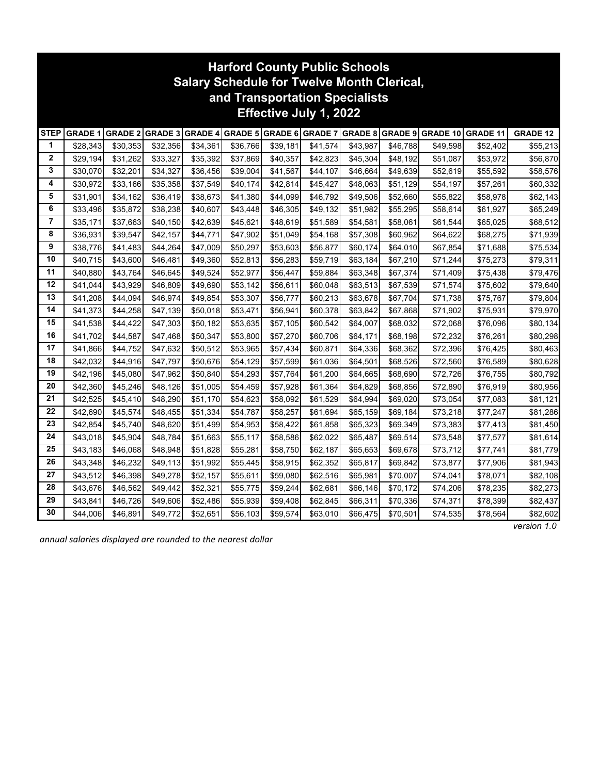|                        | <b>Harford County Public Schools</b><br><b>Salary Schedule for Twelve Month Clerical,</b><br>and Transportation Specialists |                |                        |          |          |          |          |          |          |                                                  |                 |                 |
|------------------------|-----------------------------------------------------------------------------------------------------------------------------|----------------|------------------------|----------|----------|----------|----------|----------|----------|--------------------------------------------------|-----------------|-----------------|
| Effective July 1, 2022 |                                                                                                                             |                |                        |          |          |          |          |          |          |                                                  |                 |                 |
| <b>STEP</b>            | <b>GRADE 1</b>                                                                                                              | <b>GRADE 2</b> | <b>GRADE 3 GRADE 4</b> |          |          |          |          |          |          | GRADE 5 GRADE 6 GRADE 7 GRADE 8 GRADE 9 GRADE 10 | <b>GRADE 11</b> | <b>GRADE 12</b> |
| 1                      | \$28,343                                                                                                                    | \$30,353       | \$32,356               | \$34,361 | \$36,766 | \$39,181 | \$41,574 | \$43,987 | \$46,788 | \$49,598                                         | \$52,402        | \$55,213        |
| $\mathbf 2$            | \$29,194                                                                                                                    | \$31,262       | \$33,327               | \$35,392 | \$37,869 | \$40,357 | \$42,823 | \$45,304 | \$48,192 | \$51,087                                         | \$53,972        | \$56,870        |
| 3                      | \$30,070                                                                                                                    | \$32,201       | \$34,327               | \$36,456 | \$39,004 | \$41,567 | \$44,107 | \$46,664 | \$49,639 | \$52,619                                         | \$55,592        | \$58,576        |
| 4                      | \$30,972                                                                                                                    | \$33,166       | \$35,358               | \$37,549 | \$40,174 | \$42,814 | \$45,427 | \$48,063 | \$51,129 | \$54,197                                         | \$57,261        | \$60,332        |
| 5                      | \$31,901                                                                                                                    | \$34,162       | \$36,419               | \$38,673 | \$41,380 | \$44,099 | \$46,792 | \$49,506 | \$52,660 | \$55,822                                         | \$58,978        | \$62,143        |
| 6                      | \$33,496                                                                                                                    | \$35,872       | \$38,238               | \$40,607 | \$43,448 | \$46,305 | \$49,132 | \$51,982 | \$55,295 | \$58,614                                         | \$61,927        | \$65,249        |
| $\overline{7}$         | \$35,171                                                                                                                    | \$37,663       | \$40,150               | \$42,639 | \$45,621 | \$48,619 | \$51,589 | \$54,581 | \$58,061 | \$61,544                                         | \$65,025        | \$68,512        |
| 8                      | \$36,931                                                                                                                    | \$39,547       | \$42,157               | \$44,771 | \$47,902 | \$51,049 | \$54,168 | \$57,308 | \$60,962 | \$64,622                                         | \$68,275        | \$71,939        |
| 9                      | \$38,776                                                                                                                    | \$41,483       | \$44,264               | \$47,009 | \$50,297 | \$53,603 | \$56,877 | \$60,174 | \$64,010 | \$67,854                                         | \$71,688        | \$75,534        |
| 10                     | \$40,715                                                                                                                    | \$43,600       | \$46,481               | \$49,360 | \$52,813 | \$56,283 | \$59,719 | \$63,184 | \$67,210 | \$71,244                                         | \$75,273        | \$79,311        |
| 11                     | \$40,880                                                                                                                    | \$43,764       | \$46,645               | \$49,524 | \$52,977 | \$56,447 | \$59,884 | \$63,348 | \$67,374 | \$71,409                                         | \$75,438        | \$79,476        |
| 12                     | \$41,044                                                                                                                    | \$43,929       | \$46,809               | \$49,690 | \$53,142 | \$56,611 | \$60,048 | \$63,513 | \$67,539 | \$71,574                                         | \$75,602        | \$79,640        |
| 13                     | \$41,208                                                                                                                    | \$44,094       | \$46,974               | \$49,854 | \$53,307 | \$56,777 | \$60,213 | \$63,678 | \$67,704 | \$71,738                                         | \$75,767        | \$79,804        |
| 14                     | \$41,373                                                                                                                    | \$44,258       | \$47,139               | \$50,018 | \$53,471 | \$56,941 | \$60,378 | \$63,842 | \$67,868 | \$71,902                                         | \$75,931        | \$79,970        |
| 15                     | \$41,538                                                                                                                    | \$44,422       | \$47,303               | \$50,182 | \$53,635 | \$57,105 | \$60,542 | \$64,007 | \$68,032 | \$72,068                                         | \$76,096        | \$80,134        |
| 16                     | \$41,702                                                                                                                    | \$44,587       | \$47,468               | \$50,347 | \$53,800 | \$57,270 | \$60,706 | \$64,171 | \$68,198 | \$72,232                                         | \$76,261        | \$80,298        |
| 17                     | \$41,866                                                                                                                    | \$44,752       | \$47,632               | \$50,512 | \$53,965 | \$57,434 | \$60,871 | \$64,336 | \$68,362 | \$72,396                                         | \$76,425        | \$80,463        |
| 18                     | \$42,032                                                                                                                    | \$44,916       | \$47,797               | \$50,676 | \$54,129 | \$57,599 | \$61,036 | \$64,501 | \$68,526 | \$72,560                                         | \$76,589        | \$80,628        |
| 19                     | \$42,196                                                                                                                    | \$45,080       | \$47,962               | \$50,840 | \$54,293 | \$57,764 | \$61,200 | \$64,665 | \$68,690 | \$72,726                                         | \$76,755        | \$80,792        |
| 20                     | \$42,360                                                                                                                    | \$45,246       | \$48,126               | \$51,005 | \$54,459 | \$57,928 | \$61,364 | \$64,829 | \$68,856 | \$72,890                                         | \$76,919        | \$80,956        |
| 21                     | \$42,525                                                                                                                    | \$45,410       | \$48,290               | \$51,170 | \$54,623 | \$58,092 | \$61,529 | \$64,994 | \$69,020 | \$73,054                                         | \$77,083        | \$81,121        |
| 22                     | \$42,690                                                                                                                    | \$45,574       | \$48,455               | \$51,334 | \$54,787 | \$58,257 | \$61,694 | \$65,159 | \$69,184 | \$73,218                                         | \$77,247        | \$81,286        |
| 23                     | \$42,854                                                                                                                    | \$45,740       | \$48,620               | \$51,499 | \$54,953 | \$58,422 | \$61,858 | \$65,323 | \$69,349 | \$73,383                                         | \$77,413        | \$81,450        |
| 24                     | \$43,018                                                                                                                    | \$45,904       | \$48,784               | \$51,663 | \$55,117 | \$58,586 | \$62,022 | \$65,487 | \$69,514 | \$73,548                                         | \$77,577        | \$81,614        |
| 25                     | \$43,183                                                                                                                    | \$46,068       | \$48,948               | \$51,828 | \$55,281 | \$58,750 | \$62,187 | \$65,653 | \$69,678 | \$73,712                                         | \$77,741        | \$81,779        |
| 26                     | \$43,348                                                                                                                    | \$46,232       | \$49,113               | \$51,992 | \$55,445 | \$58,915 | \$62,352 | \$65,817 | \$69,842 | \$73,877                                         | \$77,906        | \$81,943        |
| 27                     | \$43,512                                                                                                                    | \$46,398       | \$49,278               | \$52,157 | \$55,611 | \$59,080 | \$62,516 | \$65,981 | \$70,007 | \$74,041                                         | \$78,071        | \$82,108        |
| 28                     | \$43,676                                                                                                                    | \$46,562       | \$49,442               | \$52,321 | \$55,775 | \$59,244 | \$62,681 | \$66,146 | \$70,172 | \$74,206                                         | \$78,235        | \$82,273        |
| 29                     | \$43,841                                                                                                                    | \$46,726       | \$49,606               | \$52,486 | \$55,939 | \$59,408 | \$62,845 | \$66,311 | \$70,336 | \$74,371                                         | \$78,399        | \$82,437        |
| 30                     | \$44,006                                                                                                                    | \$46,891       | \$49,772               | \$52,651 | \$56,103 | \$59,574 | \$63,010 | \$66,475 | \$70,501 | \$74,535                                         | \$78,564        | \$82,602        |

*annual salaries displayed are rounded to the nearest dollar*

*version 1.0*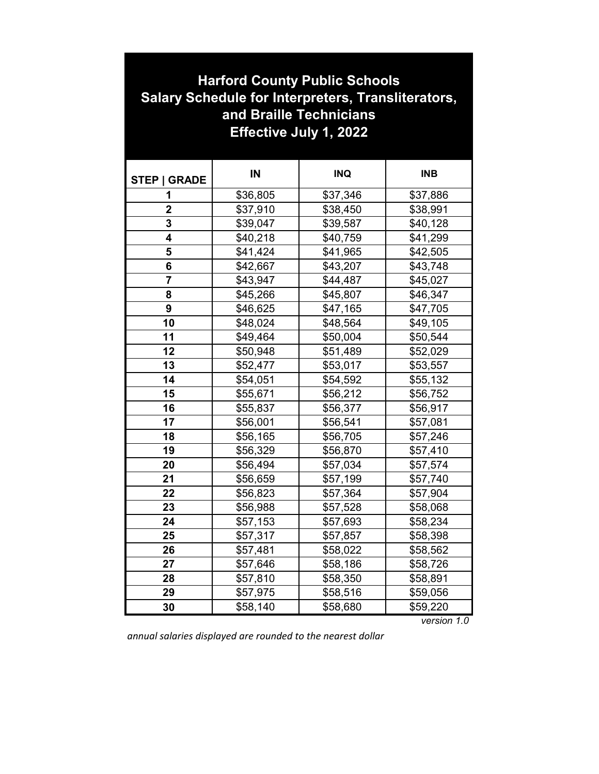| <b>Harford County Public Schools</b><br><b>Salary Schedule for Interpreters, Transliterators,</b><br>and Braille Technicians<br><b>Effective July 1, 2022</b> |          |            |            |  |  |  |
|---------------------------------------------------------------------------------------------------------------------------------------------------------------|----------|------------|------------|--|--|--|
| <b>STEP   GRADE</b>                                                                                                                                           | IN       | <b>INQ</b> | <b>INB</b> |  |  |  |
| 1                                                                                                                                                             | \$36,805 | \$37,346   | \$37,886   |  |  |  |
| $\overline{2}$                                                                                                                                                | \$37,910 | \$38,450   | \$38,991   |  |  |  |
| 3                                                                                                                                                             | \$39,047 | \$39,587   | \$40,128   |  |  |  |
| 4                                                                                                                                                             | \$40,218 | \$40,759   | \$41,299   |  |  |  |
| 5                                                                                                                                                             | \$41,424 | \$41,965   | \$42,505   |  |  |  |
| 6                                                                                                                                                             | \$42,667 | \$43,207   | \$43,748   |  |  |  |
| $\overline{7}$                                                                                                                                                | \$43,947 | \$44,487   | \$45,027   |  |  |  |
| 8                                                                                                                                                             | \$45,266 | \$45,807   | \$46,347   |  |  |  |
| 9                                                                                                                                                             | \$46,625 | \$47,165   | \$47,705   |  |  |  |
| 10                                                                                                                                                            | \$48,024 | \$48,564   | \$49,105   |  |  |  |
| 11                                                                                                                                                            | \$49,464 | \$50,004   | \$50,544   |  |  |  |
| 12                                                                                                                                                            | \$50,948 | \$51,489   | \$52,029   |  |  |  |
| 13                                                                                                                                                            | \$52,477 | \$53,017   | \$53,557   |  |  |  |
| 14                                                                                                                                                            | \$54,051 | \$54,592   | \$55,132   |  |  |  |
| 15                                                                                                                                                            | \$55,671 | \$56,212   | \$56,752   |  |  |  |
| 16                                                                                                                                                            | \$55,837 | \$56,377   | \$56,917   |  |  |  |
| 17                                                                                                                                                            | \$56,001 | \$56,541   | \$57,081   |  |  |  |
| 18                                                                                                                                                            | \$56,165 | \$56,705   | \$57,246   |  |  |  |
| 19                                                                                                                                                            | \$56,329 | \$56,870   | \$57,410   |  |  |  |
| 20                                                                                                                                                            | \$56,494 | \$57,034   | \$57,574   |  |  |  |
| 21                                                                                                                                                            | \$56,659 | \$57,199   | \$57,740   |  |  |  |
| 22                                                                                                                                                            | \$56,823 | \$57,364   | \$57,904   |  |  |  |
| 23                                                                                                                                                            | \$56,988 | \$57,528   | \$58,068   |  |  |  |
| 24                                                                                                                                                            | \$57,153 | \$57,693   | \$58,234   |  |  |  |
| 25                                                                                                                                                            | \$57,317 | \$57,857   | \$58,398   |  |  |  |
| 26                                                                                                                                                            | \$57,481 | \$58,022   | \$58,562   |  |  |  |
| 27                                                                                                                                                            | \$57,646 | \$58,186   | \$58,726   |  |  |  |
| 28                                                                                                                                                            | \$57,810 | \$58,350   | \$58,891   |  |  |  |
| 29                                                                                                                                                            | \$57,975 | \$58,516   | \$59,056   |  |  |  |
| 30                                                                                                                                                            | \$58,140 | \$58,680   | \$59,220   |  |  |  |

*version 1.0*

*annual salaries displayed are rounded to the nearest dollar*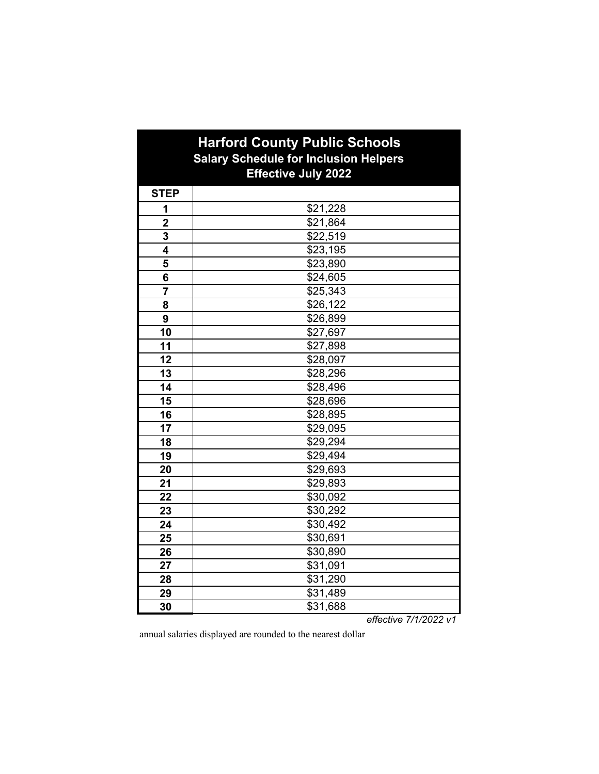| <b>Harford County Public Schools</b><br><b>Salary Schedule for Inclusion Helpers</b><br><b>Effective July 2022</b> |                      |  |  |  |  |
|--------------------------------------------------------------------------------------------------------------------|----------------------|--|--|--|--|
| <b>STEP</b>                                                                                                        |                      |  |  |  |  |
| 1                                                                                                                  | \$21,228             |  |  |  |  |
| $\overline{2}$                                                                                                     | \$21,864             |  |  |  |  |
| 3                                                                                                                  | \$22,519             |  |  |  |  |
| 4                                                                                                                  | \$23,195             |  |  |  |  |
| 5                                                                                                                  | \$23,890             |  |  |  |  |
| 6                                                                                                                  | \$24,605             |  |  |  |  |
| $\overline{7}$                                                                                                     | \$25,343             |  |  |  |  |
| 8                                                                                                                  | $\overline{$26,122}$ |  |  |  |  |
| 9                                                                                                                  | \$26,899             |  |  |  |  |
| 10                                                                                                                 | \$27,697             |  |  |  |  |
| 11                                                                                                                 | \$27,898             |  |  |  |  |
| 12                                                                                                                 | \$28,097             |  |  |  |  |
| 13                                                                                                                 | \$28,296             |  |  |  |  |
| 14                                                                                                                 | \$28,496             |  |  |  |  |
| 15                                                                                                                 | \$28,696             |  |  |  |  |
| 16                                                                                                                 | \$28,895             |  |  |  |  |
| 17                                                                                                                 | \$29,095             |  |  |  |  |
| 18                                                                                                                 | \$29,294             |  |  |  |  |
| 19                                                                                                                 | \$29,494             |  |  |  |  |
| 20                                                                                                                 | \$29,693             |  |  |  |  |
| 21                                                                                                                 | \$29,893             |  |  |  |  |
| 22                                                                                                                 | \$30,092             |  |  |  |  |
| 23                                                                                                                 | \$30,292             |  |  |  |  |
| 24                                                                                                                 | \$30,492             |  |  |  |  |
| 25                                                                                                                 | \$30,691             |  |  |  |  |
| 26                                                                                                                 | \$30,890             |  |  |  |  |
| 27                                                                                                                 | \$31,091             |  |  |  |  |
| 28                                                                                                                 | \$31,290             |  |  |  |  |
| 29                                                                                                                 | \$31,489             |  |  |  |  |
| 30                                                                                                                 | \$31,688             |  |  |  |  |

*effective 7/1/2022 v1*

annual salaries displayed are rounded to the nearest dollar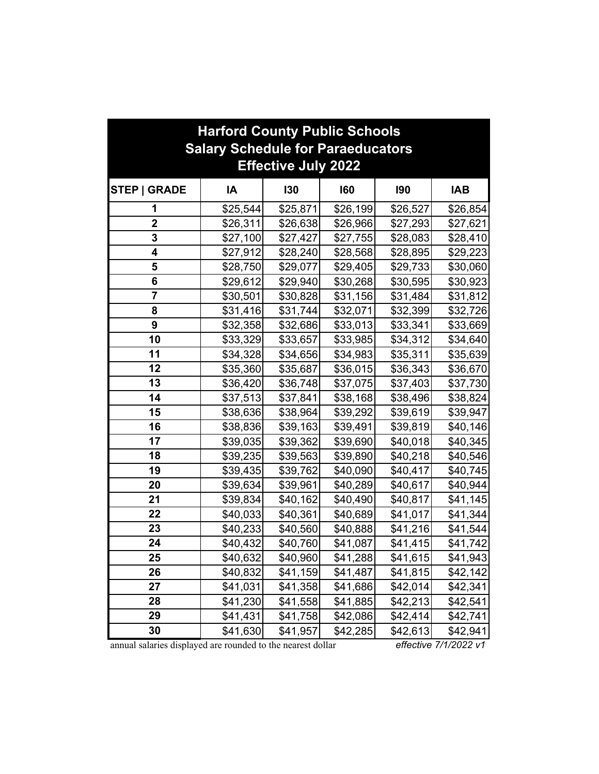| <b>Harford County Public Schools</b>                                   |          |          |          |            |            |  |
|------------------------------------------------------------------------|----------|----------|----------|------------|------------|--|
| <b>Salary Schedule for Paraeducators</b><br><b>Effective July 2022</b> |          |          |          |            |            |  |
| <b>STEP   GRADE</b>                                                    | IA       | 130      | 160      | <b>190</b> | <b>IAB</b> |  |
| 1                                                                      | \$25,544 | \$25,871 | \$26,199 | \$26,527   | \$26,854   |  |
| $\overline{\mathbf{2}}$                                                | \$26,311 | \$26,638 | \$26,966 | \$27,293   | \$27,621   |  |
| 3                                                                      | \$27,100 | \$27,427 | \$27,755 | \$28,083   | \$28,410   |  |
| 4                                                                      | \$27,912 | \$28,240 | \$28,568 | \$28,895   | \$29,223   |  |
| 5                                                                      | \$28,750 | \$29,077 | \$29,405 | \$29,733   | \$30,060   |  |
| 6                                                                      | \$29,612 | \$29,940 | \$30,268 | \$30,595   | \$30,923   |  |
| 7                                                                      | \$30,501 | \$30,828 | \$31,156 | \$31,484   | \$31,812   |  |
| 8                                                                      | \$31,416 | \$31,744 | \$32,071 | \$32,399   | \$32,726   |  |
| 9                                                                      | \$32,358 | \$32,686 | \$33,013 | \$33,341   | \$33,669   |  |
| 10                                                                     | \$33,329 | \$33,657 | \$33,985 | \$34,312   | \$34,640   |  |
| 11                                                                     | \$34,328 | \$34,656 | \$34,983 | \$35,311   | \$35,639   |  |
| 12                                                                     | \$35,360 | \$35,687 | \$36,015 | \$36,343   | \$36,670   |  |
| 13                                                                     | \$36,420 | \$36,748 | \$37,075 | \$37,403   | \$37,730   |  |
| 14                                                                     | \$37,513 | \$37,841 | \$38,168 | \$38,496   | \$38,824   |  |
| 15                                                                     | \$38,636 | \$38,964 | \$39,292 | \$39,619   | \$39,947   |  |
| 16                                                                     | \$38,836 | \$39,163 | \$39,491 | \$39,819   | \$40,146   |  |
| 17                                                                     | \$39,035 | \$39,362 | \$39,690 | \$40,018   | \$40,345   |  |
| 18                                                                     | \$39,235 | \$39,563 | \$39,890 | \$40,218   | \$40,546   |  |
| 19                                                                     | \$39,435 | \$39,762 | \$40,090 | \$40,417   | \$40,745   |  |
| 20                                                                     | \$39,634 | \$39,961 | \$40,289 | \$40,617   | \$40,944   |  |
| 21                                                                     | \$39,834 | \$40,162 | \$40,490 | \$40,817   | \$41,145   |  |
| 22                                                                     | \$40,033 | \$40,361 | \$40,689 | \$41,017   | \$41,344   |  |
| 23                                                                     | \$40,233 | \$40,560 | \$40,888 | \$41,216   | \$41,544   |  |
| 24                                                                     | \$40,432 | \$40,760 | \$41,087 | \$41,415   | \$41,742   |  |
| 25                                                                     | \$40,632 | \$40,960 | \$41,288 | \$41,615   | \$41,943   |  |
| 26                                                                     | \$40,832 | \$41,159 | \$41,487 | \$41,815   | \$42,142   |  |
| 27                                                                     | \$41,031 | \$41,358 | \$41,686 | \$42,014   | \$42,341   |  |
| 28                                                                     | \$41,230 | \$41,558 | \$41,885 | \$42,213   | \$42,541   |  |
| 29                                                                     | \$41,431 | \$41,758 | \$42,086 | \$42,414   | \$42,741   |  |
| 30                                                                     | \$41,630 | \$41,957 | \$42,285 | \$42,613   | \$42,941   |  |

annual salaries displayed are rounded to the nearest dollar *effective 7/1/2022 v1*